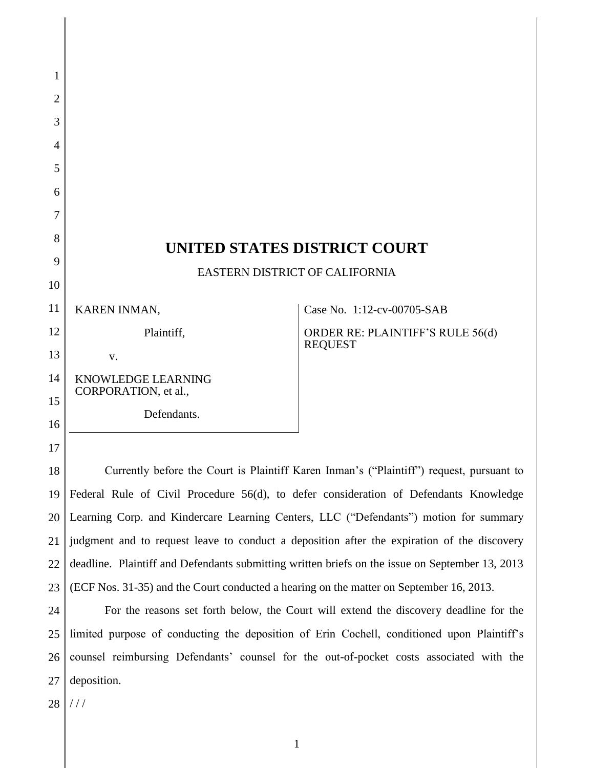| 1      |                                                                                                 |                                         |
|--------|-------------------------------------------------------------------------------------------------|-----------------------------------------|
| 2<br>3 |                                                                                                 |                                         |
| 4      |                                                                                                 |                                         |
| 5      |                                                                                                 |                                         |
| 6      |                                                                                                 |                                         |
| 7      |                                                                                                 |                                         |
| 8      |                                                                                                 |                                         |
| 9      | UNITED STATES DISTRICT COURT                                                                    |                                         |
| 10     | EASTERN DISTRICT OF CALIFORNIA                                                                  |                                         |
| 11     | KAREN INMAN,                                                                                    | Case No. 1:12-cv-00705-SAB              |
| 12     | Plaintiff,                                                                                      | <b>ORDER RE: PLAINTIFF'S RULE 56(d)</b> |
| 13     | V.                                                                                              | <b>REQUEST</b>                          |
| 14     | KNOWLEDGE LEARNING                                                                              |                                         |
| 15     | CORPORATION, et al.,                                                                            |                                         |
| 16     | Defendants.                                                                                     |                                         |
| 17     |                                                                                                 |                                         |
| 18     | Currently before the Court is Plaintiff Karen Inman's ("Plaintiff") request, pursuant to        |                                         |
| 19     | Federal Rule of Civil Procedure 56(d), to defer consideration of Defendants Knowledge           |                                         |
| 20     | Learning Corp. and Kindercare Learning Centers, LLC ("Defendants") motion for summary           |                                         |
| 21     | judgment and to request leave to conduct a deposition after the expiration of the discovery     |                                         |
| 22     | deadline. Plaintiff and Defendants submitting written briefs on the issue on September 13, 2013 |                                         |
| 23     | (ECF Nos. 31-35) and the Court conducted a hearing on the matter on September 16, 2013.         |                                         |
| 24     | For the reasons set forth below, the Court will extend the discovery deadline for the           |                                         |
| 25     | limited purpose of conducting the deposition of Erin Cochell, conditioned upon Plaintiff's      |                                         |
| 26     | counsel reimbursing Defendants' counsel for the out-of-pocket costs associated with the         |                                         |
| 27     | deposition.                                                                                     |                                         |
| $28\,$ | //                                                                                              |                                         |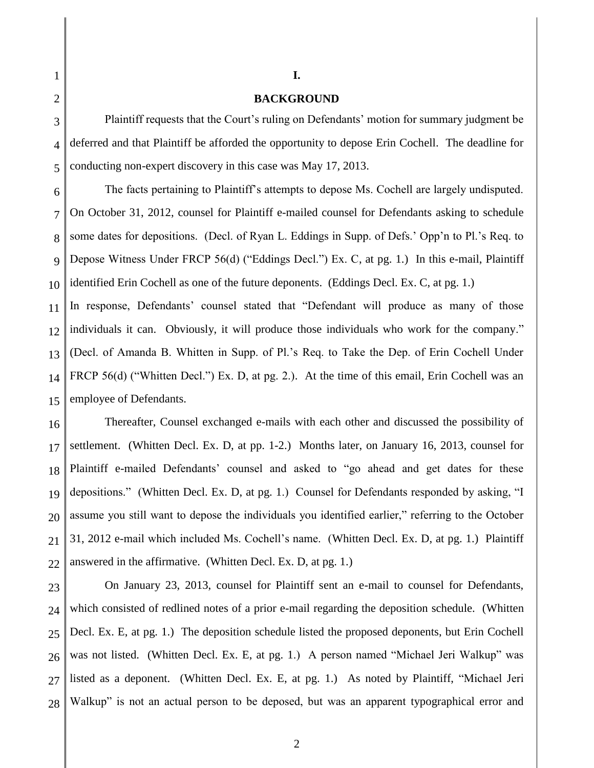2

1

#### **BACKGROUND**

3 4 5 Plaintiff requests that the Court's ruling on Defendants' motion for summary judgment be deferred and that Plaintiff be afforded the opportunity to depose Erin Cochell. The deadline for conducting non-expert discovery in this case was May 17, 2013.

6 7 8 9 10 The facts pertaining to Plaintiff's attempts to depose Ms. Cochell are largely undisputed. On October 31, 2012, counsel for Plaintiff e-mailed counsel for Defendants asking to schedule some dates for depositions. (Decl. of Ryan L. Eddings in Supp. of Defs.' Opp'n to Pl.'s Req. to Depose Witness Under FRCP 56(d) ("Eddings Decl.") Ex. C, at pg. 1.) In this e-mail, Plaintiff identified Erin Cochell as one of the future deponents. (Eddings Decl. Ex. C, at pg. 1.)

11 12 13 14 15 In response, Defendants' counsel stated that "Defendant will produce as many of those individuals it can. Obviously, it will produce those individuals who work for the company." (Decl. of Amanda B. Whitten in Supp. of Pl.'s Req. to Take the Dep. of Erin Cochell Under FRCP 56(d) ("Whitten Decl.") Ex. D, at pg. 2.). At the time of this email, Erin Cochell was an employee of Defendants.

16 17 18 19 20 21 22 Thereafter, Counsel exchanged e-mails with each other and discussed the possibility of settlement. (Whitten Decl. Ex. D, at pp. 1-2.) Months later, on January 16, 2013, counsel for Plaintiff e-mailed Defendants' counsel and asked to "go ahead and get dates for these depositions." (Whitten Decl. Ex. D, at pg. 1.) Counsel for Defendants responded by asking, "I assume you still want to depose the individuals you identified earlier," referring to the October 31, 2012 e-mail which included Ms. Cochell's name. (Whitten Decl. Ex. D, at pg. 1.) Plaintiff answered in the affirmative. (Whitten Decl. Ex. D, at pg. 1.)

23 24 25 26 27 28 On January 23, 2013, counsel for Plaintiff sent an e-mail to counsel for Defendants, which consisted of redlined notes of a prior e-mail regarding the deposition schedule. (Whitten Decl. Ex. E, at pg. 1.) The deposition schedule listed the proposed deponents, but Erin Cochell was not listed. (Whitten Decl. Ex. E, at pg. 1.) A person named "Michael Jeri Walkup" was listed as a deponent. (Whitten Decl. Ex. E, at pg. 1.) As noted by Plaintiff, "Michael Jeri Walkup" is not an actual person to be deposed, but was an apparent typographical error and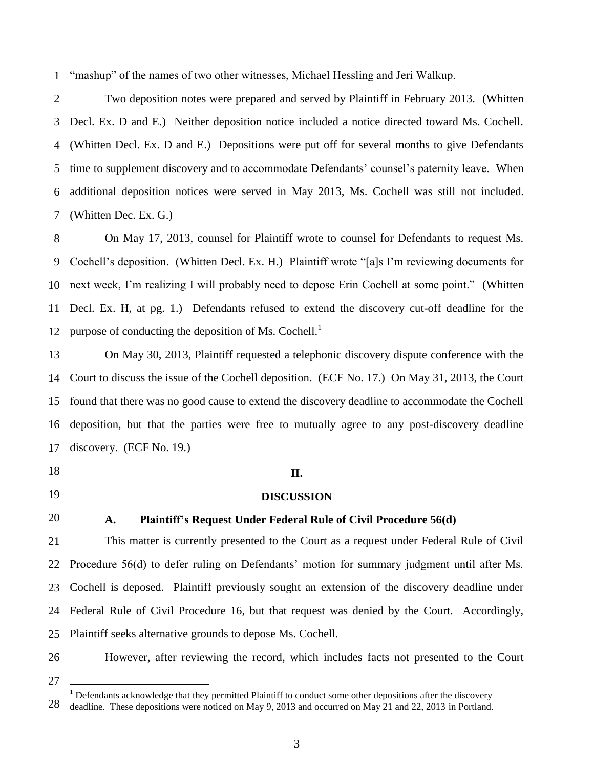1 "mashup" of the names of two other witnesses, Michael Hessling and Jeri Walkup.

2 3 4 5 6 7 Two deposition notes were prepared and served by Plaintiff in February 2013. (Whitten Decl. Ex. D and E.) Neither deposition notice included a notice directed toward Ms. Cochell. (Whitten Decl. Ex. D and E.) Depositions were put off for several months to give Defendants time to supplement discovery and to accommodate Defendants' counsel's paternity leave. When additional deposition notices were served in May 2013, Ms. Cochell was still not included. (Whitten Dec. Ex. G.)

8 9 10 11 12 On May 17, 2013, counsel for Plaintiff wrote to counsel for Defendants to request Ms. Cochell's deposition. (Whitten Decl. Ex. H.) Plaintiff wrote "[a]s I'm reviewing documents for next week, I'm realizing I will probably need to depose Erin Cochell at some point." (Whitten Decl. Ex. H, at pg. 1.) Defendants refused to extend the discovery cut-off deadline for the purpose of conducting the deposition of Ms. Cochell.<sup>1</sup>

13 14 15 16 17 On May 30, 2013, Plaintiff requested a telephonic discovery dispute conference with the Court to discuss the issue of the Cochell deposition. (ECF No. 17.) On May 31, 2013, the Court found that there was no good cause to extend the discovery deadline to accommodate the Cochell deposition, but that the parties were free to mutually agree to any post-discovery deadline discovery. (ECF No. 19.)

#### **II.**

## **DISCUSSION**

# **A. Plaintiff's Request Under Federal Rule of Civil Procedure 56(d)**

21 22 23 24 25 This matter is currently presented to the Court as a request under Federal Rule of Civil Procedure 56(d) to defer ruling on Defendants' motion for summary judgment until after Ms. Cochell is deposed. Plaintiff previously sought an extension of the discovery deadline under Federal Rule of Civil Procedure 16, but that request was denied by the Court. Accordingly, Plaintiff seeks alternative grounds to depose Ms. Cochell.

26

18

19

20

However, after reviewing the record, which includes facts not presented to the Court

27

 $\overline{a}$ 

<sup>28</sup> <sup>1</sup> Defendants acknowledge that they permitted Plaintiff to conduct some other depositions after the discovery deadline. These depositions were noticed on May 9, 2013 and occurred on May 21 and 22, 2013 in Portland.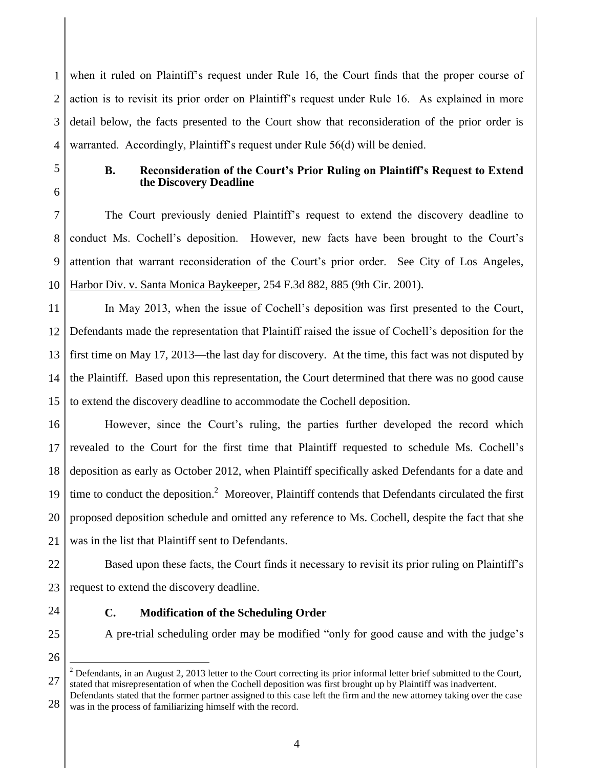1 2 3 4 when it ruled on Plaintiff's request under Rule 16, the Court finds that the proper course of action is to revisit its prior order on Plaintiff's request under Rule 16. As explained in more detail below, the facts presented to the Court show that reconsideration of the prior order is warranted. Accordingly, Plaintiff's request under Rule 56(d) will be denied.

5 6

#### **B. Reconsideration of the Court's Prior Ruling on Plaintiff's Request to Extend the Discovery Deadline**

7 8 9 10 The Court previously denied Plaintiff's request to extend the discovery deadline to conduct Ms. Cochell's deposition. However, new facts have been brought to the Court's attention that warrant reconsideration of the Court's prior order. See City of Los Angeles, Harbor Div. v. Santa Monica Baykeeper, 254 F.3d 882, 885 (9th Cir. 2001).

11 12 13 14 15 In May 2013, when the issue of Cochell's deposition was first presented to the Court, Defendants made the representation that Plaintiff raised the issue of Cochell's deposition for the first time on May 17, 2013—the last day for discovery. At the time, this fact was not disputed by the Plaintiff. Based upon this representation, the Court determined that there was no good cause to extend the discovery deadline to accommodate the Cochell deposition.

16 17 18 19 20 21 However, since the Court's ruling, the parties further developed the record which revealed to the Court for the first time that Plaintiff requested to schedule Ms. Cochell's deposition as early as October 2012, when Plaintiff specifically asked Defendants for a date and time to conduct the deposition.<sup>2</sup> Moreover, Plaintiff contends that Defendants circulated the first proposed deposition schedule and omitted any reference to Ms. Cochell, despite the fact that she was in the list that Plaintiff sent to Defendants.

22 23 Based upon these facts, the Court finds it necessary to revisit its prior ruling on Plaintiff's request to extend the discovery deadline.

24

## **C. Modification of the Scheduling Order**

A pre-trial scheduling order may be modified "only for good cause and with the judge's

25 26

 $\overline{a}$ 

<sup>27</sup> 28  $2$  Defendants, in an August 2, 2013 letter to the Court correcting its prior informal letter brief submitted to the Court, stated that misrepresentation of when the Cochell deposition was first brought up by Plaintiff was inadvertent. Defendants stated that the former partner assigned to this case left the firm and the new attorney taking over the case was in the process of familiarizing himself with the record.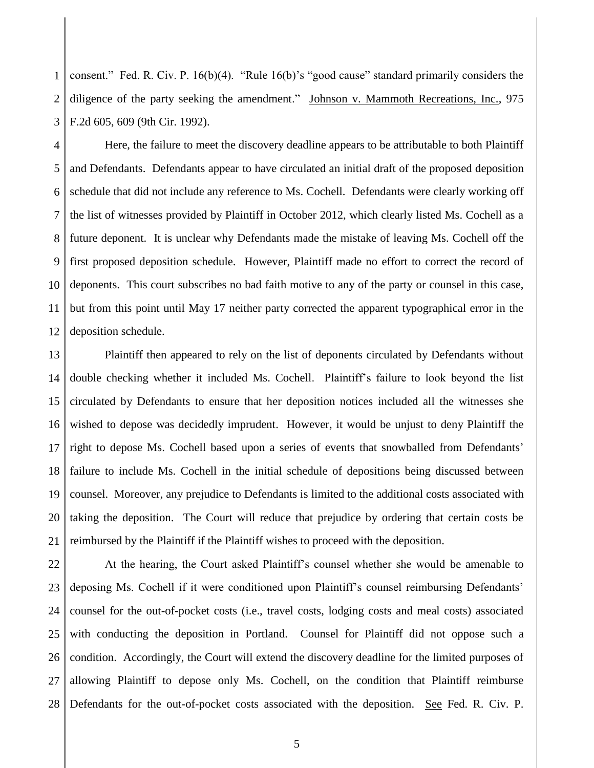1 2 3 consent." Fed. R. Civ. P. 16(b)(4). "Rule 16(b)'s "good cause" standard primarily considers the diligence of the party seeking the amendment." Johnson v. Mammoth Recreations, Inc., 975 F.2d 605, 609 (9th Cir. 1992).

4 5 6 7 8 9 10 11 12 Here, the failure to meet the discovery deadline appears to be attributable to both Plaintiff and Defendants. Defendants appear to have circulated an initial draft of the proposed deposition schedule that did not include any reference to Ms. Cochell. Defendants were clearly working off the list of witnesses provided by Plaintiff in October 2012, which clearly listed Ms. Cochell as a future deponent. It is unclear why Defendants made the mistake of leaving Ms. Cochell off the first proposed deposition schedule. However, Plaintiff made no effort to correct the record of deponents. This court subscribes no bad faith motive to any of the party or counsel in this case, but from this point until May 17 neither party corrected the apparent typographical error in the deposition schedule.

13 14 15 16 17 18 19 20 21 Plaintiff then appeared to rely on the list of deponents circulated by Defendants without double checking whether it included Ms. Cochell. Plaintiff's failure to look beyond the list circulated by Defendants to ensure that her deposition notices included all the witnesses she wished to depose was decidedly imprudent. However, it would be unjust to deny Plaintiff the right to depose Ms. Cochell based upon a series of events that snowballed from Defendants' failure to include Ms. Cochell in the initial schedule of depositions being discussed between counsel. Moreover, any prejudice to Defendants is limited to the additional costs associated with taking the deposition. The Court will reduce that prejudice by ordering that certain costs be reimbursed by the Plaintiff if the Plaintiff wishes to proceed with the deposition.

22 23 24 25 26 27 28 At the hearing, the Court asked Plaintiff's counsel whether she would be amenable to deposing Ms. Cochell if it were conditioned upon Plaintiff's counsel reimbursing Defendants' counsel for the out-of-pocket costs (i.e., travel costs, lodging costs and meal costs) associated with conducting the deposition in Portland. Counsel for Plaintiff did not oppose such a condition. Accordingly, the Court will extend the discovery deadline for the limited purposes of allowing Plaintiff to depose only Ms. Cochell, on the condition that Plaintiff reimburse Defendants for the out-of-pocket costs associated with the deposition. See Fed. R. Civ. P.

5